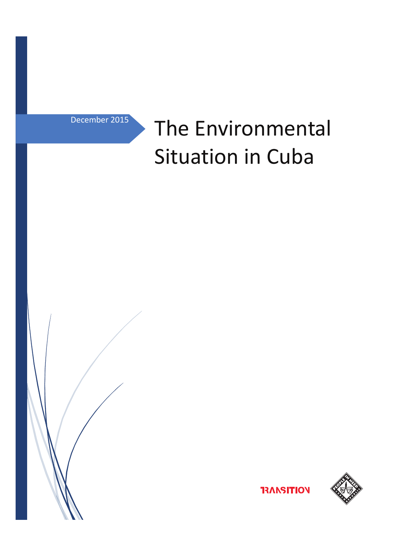December 2015

# The Environmental Situation in Cuba





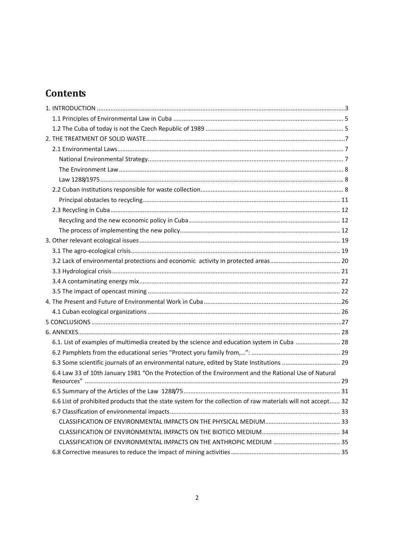# **Contents**

| 6.1. List of examples of multimedia created by the science and education system in Cuba  28                  |  |
|--------------------------------------------------------------------------------------------------------------|--|
|                                                                                                              |  |
|                                                                                                              |  |
| 6.4 Law 33 of 10th January 1981 "On the Protection of the Environment and the Rational Use of Natural        |  |
|                                                                                                              |  |
|                                                                                                              |  |
| 6.6 List of prohibited products that the state system for the collection of raw materials will not accept 32 |  |
|                                                                                                              |  |
|                                                                                                              |  |
|                                                                                                              |  |
|                                                                                                              |  |
|                                                                                                              |  |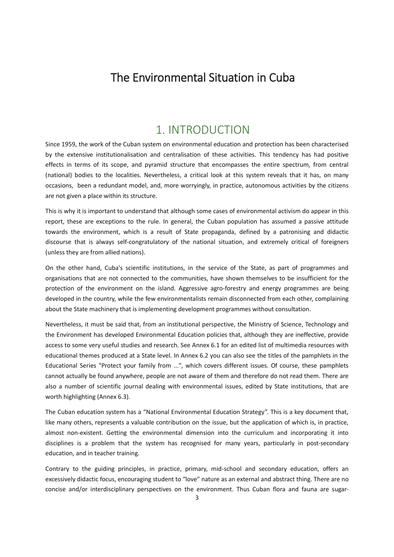# The Environmental Situation in Cuba

# 1. INTRODUCTION

Since 1959, the work of the Cuban system on environmental education and protection has been characterised by the extensive institutionalisation and centralisation of these activities. This tendency has had positive effects in terms of its scope, and pyramid structure that encompasses the entire spectrum, from central (national) bodies to the localities. Nevertheless, a critical look at this system reveals that it has, on many occasions, been a redundant model, and, more worryingly, in practice, autonomous activities by the citizens are not given a place within its structure.

This is why it is important to understand that although some cases of environmental activism do appear in this report, these are exceptions to the rule. In general, the Cuban population has assumed a passive attitude towards the environment, which is a result of State propaganda, defined by a patronising and didactic discourse that is always self-congratulatory of the national situation, and extremely critical of foreigners (unless they are from allied nations).

On the other hand, Cuba's scientific institutions, in the service of the State, as part of programmes and organisations that are not connected to the communities, have shown themselves to be insufficient for the protection of the environment on the island. Aggressive agro-forestry and energy programmes are being developed in the country, while the few environmentalists remain disconnected from each other, complaining about the State machinery that is implementing development programmes without consultation.

Nevertheless, it must be said that, from an institutional perspective, the Ministry of Science, Technology and the Environment has developed Environmental Education policies that, although they are ineffective, provide access to some very useful studies and research. See Annex 6.1 for an edited list of multimedia resources with educational themes produced at a State level. In Annex 6.2 you can also see the titles of the pamphlets in the Educational Series "Protect your family from ...", which covers different issues. Of course, these pamphlets cannot actually be found anywhere, people are not aware of them and therefore do not read them. There are also a number of scientific journal dealing with environmental issues, edited by State institutions, that are worth highlighting (Annex 6.3).

The Cuban education system has a "National Environmental Education Strategy". This is a key document that, like many others, represents a valuable contribution on the issue, but the application of which is, in practice, almost non-existent. Getting the environmental dimension into the curriculum and incorporating it into disciplines is a problem that the system has recognised for many years, particularly in post-secondary education, and in teacher training.

Contrary to the guiding principles, in practice, primary, mid-school and secondary education, offers an excessively didactic focus, encouraging student to "love" nature as an external and abstract thing. There are no concise and/or interdisciplinary perspectives on the environment. Thus Cuban flora and fauna are sugar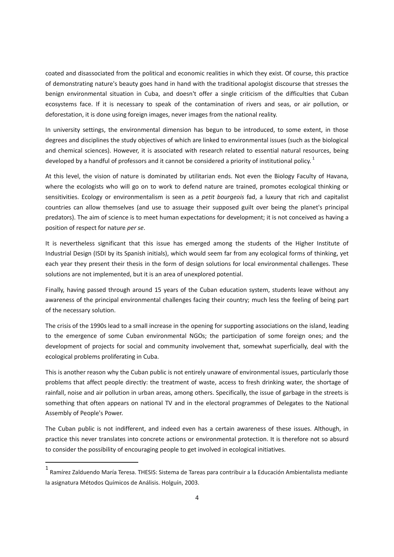coated and disassociated from the political and economic realities in which they exist. Of course, this practice of demonstrating nature's beauty goes hand in hand with the traditional apologist discourse that stresses the benign environmental situation in Cuba, and doesn't offer a single criticism of the difficulties that Cuban ecosystems face. If it is necessary to speak of the contamination of rivers and seas, or air pollution, or deforestation, it is done using foreign images, never images from the national reality.

In university settings, the environmental dimension has begun to be introduced, to some extent, in those degrees and disciplines the study objectives of which are linked to environmental issues (such as the biological and chemical sciences). However, it is associated with research related to essential natural resources, being developed by a handful of professors and it cannot be considered a priority of institutional policy.<sup>1</sup>

At this level, the vision of nature is dominated by utilitarian ends. Not even the Biology Faculty of Havana, where the ecologists who will go on to work to defend nature are trained, promotes ecological thinking or sensitivities. Ecology or environmentalism is seen as a *petit bourgeois* fad, a luxury that rich and capitalist countries can allow themselves (and use to assuage their supposed guilt over being the planet's principal predators). The aim of science is to meet human expectations for development; it is not conceived as having a position of respect for nature *per se*.

It is nevertheless significant that this issue has emerged among the students of the Higher Institute of Industrial Design (ISDI by its Spanish initials), which would seem far from any ecological forms of thinking, yet each year they present their thesis in the form of design solutions for local environmental challenges. These solutions are not implemented, but it is an area of unexplored potential.

Finally, having passed through around 15 years of the Cuban education system, students leave without any awareness of the principal environmental challenges facing their country; much less the feeling of being part of the necessary solution.

The crisis of the 1990s lead to a small increase in the opening for supporting associations on the island, leading to the emergence of some Cuban environmental NGOs; the participation of some foreign ones; and the development of projects for social and community involvement that, somewhat superficially, deal with the ecological problems proliferating in Cuba.

This is another reason why the Cuban public is not entirely unaware of environmental issues, particularly those problems that affect people directly: the treatment of waste, access to fresh drinking water, the shortage of rainfall, noise and air pollution in urban areas, among others. Specifically, the issue of garbage in the streets is something that often appears on national TV and in the electoral programmes of Delegates to the National Assembly of People's Power.

The Cuban public is not indifferent, and indeed even has a certain awareness of these issues. Although, in practice this never translates into concrete actions or environmental protection. It is therefore not so absurd to consider the possibility of encouraging people to get involved in ecological initiatives.

l

<sup>&</sup>lt;sup>1</sup> Ramírez Zalduendo María Teresa. THESIS: Sistema de Tareas para contribuir a la Educación Ambientalista mediante la asignatura Métodos Químicos de Análisis. Holguín, 2003.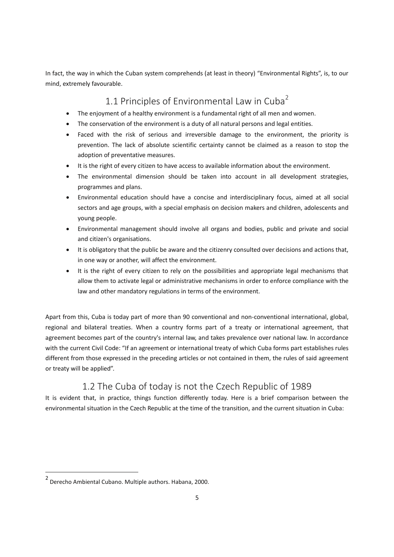In fact, the way in which the Cuban system comprehends (at least in theory) "Environmental Rights", is, to our mind, extremely favourable.

### 1.1 Principles of Environmental Law in Cuba<sup>2</sup>

- The enjoyment of a healthy environment is a fundamental right of all men and women.
- The conservation of the environment is a duty of all natural persons and legal entities.
- Faced with the risk of serious and irreversible damage to the environment, the priority is prevention. The lack of absolute scientific certainty cannot be claimed as a reason to stop the adoption of preventative measures.
- It is the right of every citizen to have access to available information about the environment.
- The environmental dimension should be taken into account in all development strategies, programmes and plans.
- · Environmental education should have a concise and interdisciplinary focus, aimed at all social sectors and age groups, with a special emphasis on decision makers and children, adolescents and young people.
- · Environmental management should involve all organs and bodies, public and private and social and citizen's organisations.
- · It is obligatory that the public be aware and the citizenry consulted over decisions and actions that, in one way or another, will affect the environment.
- It is the right of every citizen to rely on the possibilities and appropriate legal mechanisms that allow them to activate legal or administrative mechanisms in order to enforce compliance with the law and other mandatory regulations in terms of the environment.

Apart from this, Cuba is today part of more than 90 conventional and non-conventional international, global, regional and bilateral treaties. When a country forms part of a treaty or international agreement, that agreement becomes part of the country's internal law, and takes prevalence over national law. In accordance with the current Civil Code: "If an agreement or international treaty of which Cuba forms part establishes rules different from those expressed in the preceding articles or not contained in them, the rules of said agreement or treaty will be applied".

# 1.2 The Cuba of today is not the Czech Republic of 1989

It is evident that, in practice, things function differently today. Here is a brief comparison between the environmental situation in the Czech Republic at the time of the transition, and the current situation in Cuba:

 $\overline{a}$ 

<sup>2</sup> Derecho Ambiental Cubano. Multiple authors. Habana, 2000.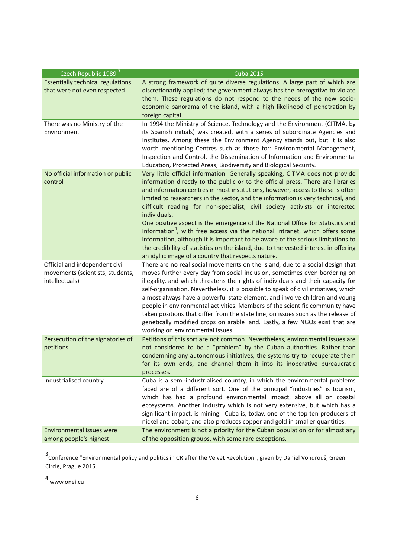| Czech Republic 1989 <sup>3</sup>         | <b>Cuba 2015</b>                                                                                                                                                           |
|------------------------------------------|----------------------------------------------------------------------------------------------------------------------------------------------------------------------------|
| <b>Essentially technical regulations</b> | A strong framework of quite diverse regulations. A large part of which are                                                                                                 |
| that were not even respected             | discretionarily applied; the government always has the prerogative to violate                                                                                              |
|                                          | them. These regulations do not respond to the needs of the new socio-                                                                                                      |
|                                          | economic panorama of the island, with a high likelihood of penetration by                                                                                                  |
|                                          | foreign capital.                                                                                                                                                           |
| There was no Ministry of the             | In 1994 the Ministry of Science, Technology and the Environment (CITMA, by                                                                                                 |
| Environment                              | its Spanish initials) was created, with a series of subordinate Agencies and<br>Institutes. Among these the Environment Agency stands out, but it is also                  |
|                                          | worth mentioning Centres such as those for: Environmental Management,                                                                                                      |
|                                          | Inspection and Control, the Dissemination of Information and Environmental                                                                                                 |
|                                          | Education, Protected Areas, Biodiversity and Biological Security.                                                                                                          |
| No official information or public        | Very little official information. Generally speaking, CITMA does not provide                                                                                               |
| control                                  | information directly to the public or to the official press. There are libraries                                                                                           |
|                                          | and information centres in most institutions, however, access to these is often                                                                                            |
|                                          | limited to researchers in the sector, and the information is very technical, and                                                                                           |
|                                          | difficult reading for non-specialist, civil society activists or interested                                                                                                |
|                                          | individuals.                                                                                                                                                               |
|                                          | One positive aspect is the emergence of the National Office for Statistics and<br>Information <sup>4</sup> , with free access via the national Intranet, which offers some |
|                                          | information, although it is important to be aware of the serious limitations to                                                                                            |
|                                          | the credibility of statistics on the island, due to the vested interest in offering                                                                                        |
|                                          | an idyllic image of a country that respects nature.                                                                                                                        |
| Official and independent civil           | There are no real social movements on the island, due to a social design that                                                                                              |
| movements (scientists, students,         | moves further every day from social inclusion, sometimes even bordering on                                                                                                 |
| intellectuals)                           | illegality, and which threatens the rights of individuals and their capacity for                                                                                           |
|                                          | self-organisation. Nevertheless, it is possible to speak of civil initiatives, which                                                                                       |
|                                          | almost always have a powerful state element, and involve children and young                                                                                                |
|                                          | people in environmental activities. Members of the scientific community have                                                                                               |
|                                          | taken positions that differ from the state line, on issues such as the release of<br>genetically modified crops on arable land. Lastly, a few NGOs exist that are          |
|                                          | working on environmental issues.                                                                                                                                           |
| Persecution of the signatories of        | Petitions of this sort are not common. Nevertheless, environmental issues are                                                                                              |
| petitions                                | not considered to be a "problem" by the Cuban authorities. Rather than                                                                                                     |
|                                          | condemning any autonomous initiatives, the systems try to recuperate them                                                                                                  |
|                                          | for its own ends, and channel them it into its inoperative bureaucratic                                                                                                    |
|                                          | processes.                                                                                                                                                                 |
| Industrialised country                   | Cuba is a semi-industrialised country, in which the environmental problems                                                                                                 |
|                                          | faced are of a different sort. One of the principal "industries" is tourism,                                                                                               |
|                                          | which has had a profound environmental impact, above all on coastal<br>ecosystems. Another industry which is not very extensive, but which has a                           |
|                                          | significant impact, is mining. Cuba is, today, one of the top ten producers of                                                                                             |
|                                          | nickel and cobalt, and also produces copper and gold in smaller quantities.                                                                                                |
| <b>Environmental issues were</b>         | The environment is not a priority for the Cuban population or for almost any                                                                                               |
| among people's highest                   | of the opposition groups, with some rare exceptions.                                                                                                                       |

<sup>3</sup> Conference "Environmental policy and politics in CR after the Velvet Revolution", given by Daniel Vondrouš, Green Circle, Prague 2015.

4 www.onei.cu

l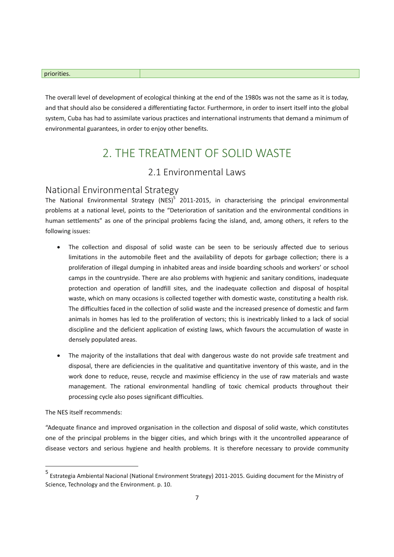#### priorities.

The overall level of development of ecological thinking at the end of the 1980s was not the same as it is today, and that should also be considered a differentiating factor. Furthermore, in order to insert itself into the global system, Cuba has had to assimilate various practices and international instruments that demand a minimum of environmental guarantees, in order to enjoy other benefits.

# 2. THE TREATMENT OF SOLID WASTE

### 2.1 Environmental Laws

### National Environmental Strategy

The National Environmental Strategy (NES)<sup>5</sup> 2011-2015, in characterising the principal environmental problems at a national level, points to the "Deterioration of sanitation and the environmental conditions in human settlements" as one of the principal problems facing the island, and, among others, it refers to the following issues:

- The collection and disposal of solid waste can be seen to be seriously affected due to serious limitations in the automobile fleet and the availability of depots for garbage collection; there is a proliferation of illegal dumping in inhabited areas and inside boarding schools and workers' or school camps in the countryside. There are also problems with hygienic and sanitary conditions, inadequate protection and operation of landfill sites, and the inadequate collection and disposal of hospital waste, which on many occasions is collected together with domestic waste, constituting a health risk. The difficulties faced in the collection of solid waste and the increased presence of domestic and farm animals in homes has led to the proliferation of vectors; this is inextricably linked to a lack of social discipline and the deficient application of existing laws, which favours the accumulation of waste in densely populated areas.
- The majority of the installations that deal with dangerous waste do not provide safe treatment and disposal, there are deficiencies in the qualitative and quantitative inventory of this waste, and in the work done to reduce, reuse, recycle and maximise efficiency in the use of raw materials and waste management. The rational environmental handling of toxic chemical products throughout their processing cycle also poses significant difficulties.

The NES itself recommends:

l

"Adequate finance and improved organisation in the collection and disposal of solid waste, which constitutes one of the principal problems in the bigger cities, and which brings with it the uncontrolled appearance of disease vectors and serious hygiene and health problems. It is therefore necessary to provide community

<sup>5</sup> Estrategia Ambiental Nacional (National Environment Strategy) 2011-2015. Guiding document for the Ministry of Science, Technology and the Environment. p. 10.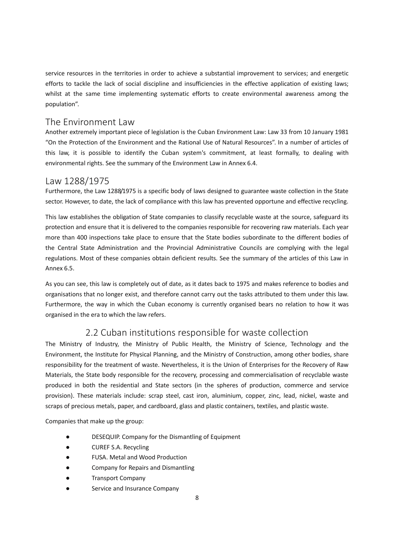service resources in the territories in order to achieve a substantial improvement to services; and energetic efforts to tackle the lack of social discipline and insufficiencies in the effective application of existing laws; whilst at the same time implementing systematic efforts to create environmental awareness among the population".

### The Environment Law

Another extremely important piece of legislation is the Cuban Environment Law: Law 33 from 10 January 1981 "On the Protection of the Environment and the Rational Use of Natural Resources". In a number of articles of this law, it is possible to identify the Cuban system's commitment, at least formally, to dealing with environmental rights. See the summary of the Environment Law in Annex 6.4.

### Law 1288/1975

Furthermore, the Law 1288/1975 is a specific body of laws designed to guarantee waste collection in the State sector. However, to date, the lack of compliance with this law has prevented opportune and effective recycling.

This law establishes the obligation of State companies to classify recyclable waste at the source, safeguard its protection and ensure that it is delivered to the companies responsible for recovering raw materials. Each year more than 400 inspections take place to ensure that the State bodies subordinate to the different bodies of the Central State Administration and the Provincial Administrative Councils are complying with the legal regulations. Most of these companies obtain deficient results. See the summary of the articles of this Law in Annex 6.5.

As you can see, this law is completely out of date, as it dates back to 1975 and makes reference to bodies and organisations that no longer exist, and therefore cannot carry out the tasks attributed to them under this law. Furthermore, the way in which the Cuban economy is currently organised bears no relation to how it was organised in the era to which the law refers.

### 2.2 Cuban institutions responsible for waste collection

The Ministry of Industry, the Ministry of Public Health, the Ministry of Science, Technology and the Environment, the Institute for Physical Planning, and the Ministry of Construction, among other bodies, share responsibility for the treatment of waste. Nevertheless, it is the Union of Enterprises for the Recovery of Raw Materials, the State body responsible for the recovery, processing and commercialisation of recyclable waste produced in both the residential and State sectors (in the spheres of production, commerce and service provision). These materials include: scrap steel, cast iron, aluminium, copper, zinc, lead, nickel, waste and scraps of precious metals, paper, and cardboard, glass and plastic containers, textiles, and plastic waste.

Companies that make up the group:

- DESEQUIP. Company for the Dismantling of Equipment
- CUREF S.A. Recycling
- FUSA. Metal and Wood Production
- Company for Repairs and Dismantling
- Transport Company
- Service and Insurance Company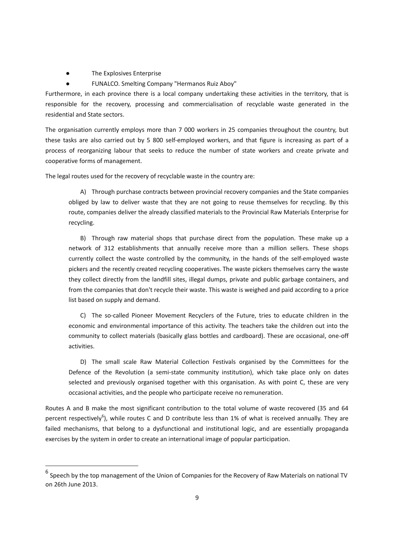● The Explosives Enterprise

 $\overline{\phantom{a}}$ 

FUNALCO. Smelting Company "Hermanos Ruiz Aboy"

Furthermore, in each province there is a local company undertaking these activities in the territory, that is responsible for the recovery, processing and commercialisation of recyclable waste generated in the residential and State sectors.

The organisation currently employs more than 7 000 workers in 25 companies throughout the country, but these tasks are also carried out by 5 800 self-employed workers, and that figure is increasing as part of a process of reorganizing labour that seeks to reduce the number of state workers and create private and cooperative forms of management.

The legal routes used for the recovery of recyclable waste in the country are:

A) Through purchase contracts between provincial recovery companies and the State companies obliged by law to deliver waste that they are not going to reuse themselves for recycling. By this route, companies deliver the already classified materials to the Provincial Raw Materials Enterprise for recycling.

B) Through raw material shops that purchase direct from the population. These make up a network of 312 establishments that annually receive more than a million sellers. These shops currently collect the waste controlled by the community, in the hands of the self-employed waste pickers and the recently created recycling cooperatives. The waste pickers themselves carry the waste they collect directly from the landfill sites, illegal dumps, private and public garbage containers, and from the companies that don't recycle their waste. This waste is weighed and paid according to a price list based on supply and demand.

C) The so-called Pioneer Movement Recyclers of the Future, tries to educate children in the economic and environmental importance of this activity. The teachers take the children out into the community to collect materials (basically glass bottles and cardboard). These are occasional, one-off activities.

D) The small scale Raw Material Collection Festivals organised by the Committees for the Defence of the Revolution (a semi-state community institution), which take place only on dates selected and previously organised together with this organisation. As with point C, these are very occasional activities, and the people who participate receive no remuneration.

Routes A and B make the most significant contribution to the total volume of waste recovered (35 and 64 percent respectively<sup>6</sup>), while routes C and D contribute less than 1% of what is received annually. They are failed mechanisms, that belong to a dysfunctional and institutional logic, and are essentially propaganda exercises by the system in order to create an international image of popular participation.

 $^6$  Speech by the top management of the Union of Companies for the Recovery of Raw Materials on national TV on 26th June 2013.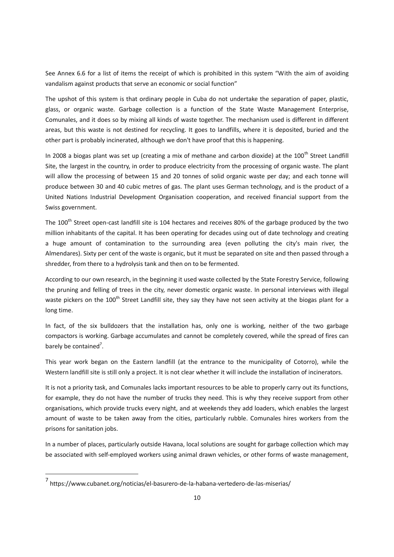See Annex 6.6 for a list of items the receipt of which is prohibited in this system "With the aim of avoiding vandalism against products that serve an economic or social function"

The upshot of this system is that ordinary people in Cuba do not undertake the separation of paper, plastic, glass, or organic waste. Garbage collection is a function of the State Waste Management Enterprise, Comunales, and it does so by mixing all kinds of waste together. The mechanism used is different in different areas, but this waste is not destined for recycling. It goes to landfills, where it is deposited, buried and the other part is probably incinerated, although we don't have proof that this is happening.

In 2008 a biogas plant was set up (creating a mix of methane and carbon dioxide) at the 100<sup>th</sup> Street Landfill Site, the largest in the country, in order to produce electricity from the processing of organic waste. The plant will allow the processing of between 15 and 20 tonnes of solid organic waste per day; and each tonne will produce between 30 and 40 cubic metres of gas. The plant uses German technology, and is the product of a United Nations Industrial Development Organisation cooperation, and received financial support from the Swiss government.

The 100<sup>th</sup> Street open-cast landfill site is 104 hectares and receives 80% of the garbage produced by the two million inhabitants of the capital. It has been operating for decades using out of date technology and creating a huge amount of contamination to the surrounding area (even polluting the city's main river, the Almendares). Sixty per cent of the waste is organic, but it must be separated on site and then passed through a shredder, from there to a hydrolysis tank and then on to be fermented.

According to our own research, in the beginning it used waste collected by the State Forestry Service, following the pruning and felling of trees in the city, never domestic organic waste. In personal interviews with illegal waste pickers on the 100<sup>th</sup> Street Landfill site, they say they have not seen activity at the biogas plant for a long time.

In fact, of the six bulldozers that the installation has, only one is working, neither of the two garbage compactors is working. Garbage accumulates and cannot be completely covered, while the spread of fires can barely be contained<sup>7</sup>.

This year work began on the Eastern landfill (at the entrance to the municipality of Cotorro), while the Western landfill site is still only a project. It is not clear whether it will include the installation of incinerators.

It is not a priority task, and Comunales lacks important resources to be able to properly carry out its functions, for example, they do not have the number of trucks they need. This is why they receive support from other organisations, which provide trucks every night, and at weekends they add loaders, which enables the largest amount of waste to be taken away from the cities, particularly rubble. Comunales hires workers from the prisons for sanitation jobs.

In a number of places, particularly outside Havana, local solutions are sought for garbage collection which may be associated with self-employed workers using animal drawn vehicles, or other forms of waste management,

 $\overline{\phantom{a}}$ 

<sup>7</sup> https://www.cubanet.org/noticias/el-basurero-de-la-habana-vertedero-de-las-miserias/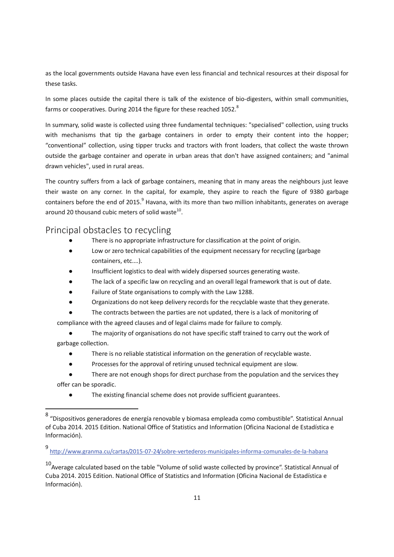as the local governments outside Havana have even less financial and technical resources at their disposal for these tasks.

In some places outside the capital there is talk of the existence of bio-digesters, within small communities, farms or cooperatives. During 2014 the figure for these reached 1052.<sup>8</sup>

In summary, solid waste is collected using three fundamental techniques: "specialised" collection, using trucks with mechanisms that tip the garbage containers in order to empty their content into the hopper; "conventional" collection, using tipper trucks and tractors with front loaders, that collect the waste thrown outside the garbage container and operate in urban areas that don't have assigned containers; and "animal drawn vehicles", used in rural areas.

The country suffers from a lack of garbage containers, meaning that in many areas the neighbours just leave their waste on any corner. In the capital, for example, they aspire to reach the figure of 9380 garbage containers before the end of 2015.<sup>9</sup> Havana, with its more than two million inhabitants, generates on average around 20 thousand cubic meters of solid waste $^{10}$ .

### Principal obstacles to recycling

 $\overline{\phantom{a}}$ 

- There is no appropriate infrastructure for classification at the point of origin.
- Low or zero technical capabilities of the equipment necessary for recycling (garbage containers, etc.…).
- Insufficient logistics to deal with widely dispersed sources generating waste.
- The lack of a specific law on recycling and an overall legal framework that is out of date.
- Failure of State organisations to comply with the Law 1288.
- Organizations do not keep delivery records for the recyclable waste that they generate.

The contracts between the parties are not updated, there is a lack of monitoring of

compliance with the agreed clauses and of legal claims made for failure to comply.

- The majority of organisations do not have specific staff trained to carry out the work of garbage collection.
	- There is no reliable statistical information on the generation of recyclable waste.
	- Processes for the approval of retiring unused technical equipment are slow.
- There are not enough shops for direct purchase from the population and the services they offer can be sporadic.
	- The existing financial scheme does not provide sufficient guarantees.

<sup>&</sup>lt;sup>8</sup> "Dispositivos generadores de energía renovable y biomasa empleada como combustible". Statistical Annual of Cuba 2014. 2015 Edition. National Office of Statistics and Information (Oficina Nacional de Estadística e Información).

<sup>9</sup> http://www.granma.cu/cartas/2015-07-24/sobre-vertederos-municipales-informa-comunales-de-la-habana

 $10<sup>10</sup>$ Average calculated based on the table "Volume of solid waste collected by province". Statistical Annual of Cuba 2014. 2015 Edition. National Office of Statistics and Information (Oficina Nacional de Estadística e Información).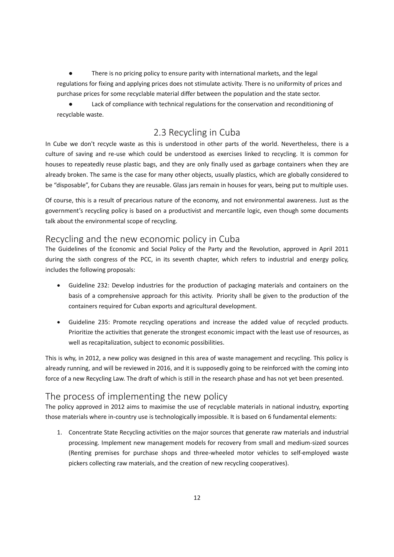There is no pricing policy to ensure parity with international markets, and the legal regulations for fixing and applying prices does not stimulate activity. There is no uniformity of prices and purchase prices for some recyclable material differ between the population and the state sector.

Lack of compliance with technical regulations for the conservation and reconditioning of recyclable waste.

### 2.3 Recycling in Cuba

In Cube we don't recycle waste as this is understood in other parts of the world. Nevertheless, there is a culture of saving and re-use which could be understood as exercises linked to recycling. It is common for houses to repeatedly reuse plastic bags, and they are only finally used as garbage containers when they are already broken. The same is the case for many other objects, usually plastics, which are globally considered to be "disposable", for Cubans they are reusable. Glass jars remain in houses for years, being put to multiple uses.

Of course, this is a result of precarious nature of the economy, and not environmental awareness. Just as the government's recycling policy is based on a productivist and mercantile logic, even though some documents talk about the environmental scope of recycling.

### Recycling and the new economic policy in Cuba

The Guidelines of the Economic and Social Policy of the Party and the Revolution, approved in April 2011 during the sixth congress of the PCC, in its seventh chapter, which refers to industrial and energy policy, includes the following proposals:

- · Guideline 232: Develop industries for the production of packaging materials and containers on the basis of a comprehensive approach for this activity. Priority shall be given to the production of the containers required for Cuban exports and agricultural development.
- · Guideline 235: Promote recycling operations and increase the added value of recycled products. Prioritize the activities that generate the strongest economic impact with the least use of resources, as well as recapitalization, subject to economic possibilities.

This is why, in 2012, a new policy was designed in this area of waste management and recycling. This policy is already running, and will be reviewed in 2016, and it is supposedly going to be reinforced with the coming into force of a new Recycling Law. The draft of which is still in the research phase and has not yet been presented.

### The process of implementing the new policy

The policy approved in 2012 aims to maximise the use of recyclable materials in national industry, exporting those materials where in-country use is technologically impossible. It is based on 6 fundamental elements:

1. Concentrate State Recycling activities on the major sources that generate raw materials and industrial processing. Implement new management models for recovery from small and medium-sized sources (Renting premises for purchase shops and three-wheeled motor vehicles to self-employed waste pickers collecting raw materials, and the creation of new recycling cooperatives).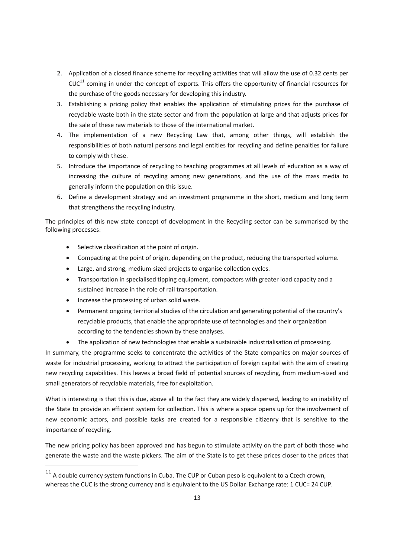- 2. Application of a closed finance scheme for recycling activities that will allow the use of 0.32 cents per  $CUC^{11}$  coming in under the concept of exports. This offers the opportunity of financial resources for the purchase of the goods necessary for developing this industry.
- 3. Establishing a pricing policy that enables the application of stimulating prices for the purchase of recyclable waste both in the state sector and from the population at large and that adjusts prices for the sale of these raw materials to those of the international market.
- 4. The implementation of a new Recycling Law that, among other things, will establish the responsibilities of both natural persons and legal entities for recycling and define penalties for failure to comply with these.
- 5. Introduce the importance of recycling to teaching programmes at all levels of education as a way of increasing the culture of recycling among new generations, and the use of the mass media to generally inform the population on this issue.
- 6. Define a development strategy and an investment programme in the short, medium and long term that strengthens the recycling industry.

The principles of this new state concept of development in the Recycling sector can be summarised by the following processes:

- · Selective classification at the point of origin.
- · Compacting at the point of origin, depending on the product, reducing the transported volume.
- · Large, and strong, medium-sized projects to organise collection cycles.
- · Transportation in specialised tipping equipment, compactors with greater load capacity and a sustained increase in the role of rail transportation.
- · Increase the processing of urban solid waste.

 $\overline{\phantom{a}}$ 

- Permanent ongoing territorial studies of the circulation and generating potential of the country's recyclable products, that enable the appropriate use of technologies and their organization according to the tendencies shown by these analyses.
- The application of new technologies that enable a sustainable industrialisation of processing.

In summary, the programme seeks to concentrate the activities of the State companies on major sources of waste for industrial processing, working to attract the participation of foreign capital with the aim of creating new recycling capabilities. This leaves a broad field of potential sources of recycling, from medium-sized and small generators of recyclable materials, free for exploitation.

What is interesting is that this is due, above all to the fact they are widely dispersed, leading to an inability of the State to provide an efficient system for collection. This is where a space opens up for the involvement of new economic actors, and possible tasks are created for a responsible citizenry that is sensitive to the importance of recycling.

The new pricing policy has been approved and has begun to stimulate activity on the part of both those who generate the waste and the waste pickers. The aim of the State is to get these prices closer to the prices that

 $11$  A double currency system functions in Cuba. The CUP or Cuban peso is equivalent to a Czech crown, whereas the CUC is the strong currency and is equivalent to the US Dollar. Exchange rate: 1 CUC= 24 CUP.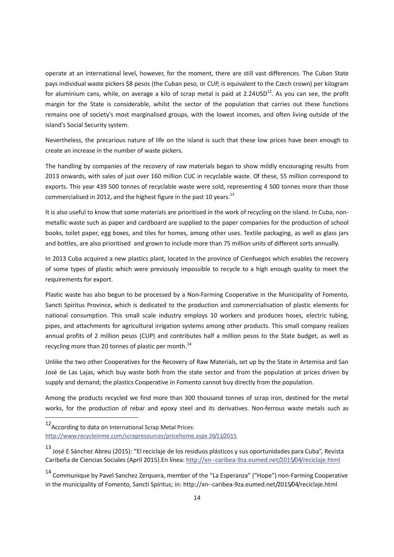operate at an international level, however, for the moment, there are still vast differences. The Cuban State pays individual waste pickers \$8 pesos (the Cuban peso, or CUP, is equivalent to the Czech crown) per kilogram for aluminium cans, while, on average a kilo of scrap metal is paid at 2.24USD<sup>12</sup>. As you can see, the profit margin for the State is considerable, whilst the sector of the population that carries out these functions remains one of society's most marginalised groups, with the lowest incomes, and often living outside of the island's Social Security system.

Nevertheless, the precarious nature of life on the island is such that these low prices have been enough to create an increase in the number of waste pickers.

The handling by companies of the recovery of raw materials began to show mildly encouraging results from 2013 onwards, with sales of just over 160 million CUC in recyclable waste. Of these, 55 million correspond to exports. This year 439 500 tonnes of recyclable waste were sold, representing 4 500 tonnes more than those commercialised in 2012, and the highest figure in the past 10 years.<sup>13</sup>

It is also useful to know that some materials are prioritised in the work of recycling on the island. In Cuba, nonmetallic waste such as paper and cardboard are supplied to the paper companies for the production of school books, toilet paper, egg boxes, and tiles for homes, among other uses. Textile packaging, as well as glass jars and bottles, are also prioritised and grown to include more than 75 million units of different sorts annually.

In 2013 Cuba acquired a new plastics plant, located in the province of Cienfuegos which enables the recovery of some types of plastic which were previously impossible to recycle to a high enough quality to meet the requirements for export.

Plastic waste has also begun to be processed by a Non-Farming Cooperative in the Municipality of Fomento, Sancti Spíritus Province, which is dedicated to the production and commercialisation of plastic elements for national consumption. This small scale industry employs 10 workers and produces hoses, electric tubing, pipes, and attachments for agricultural irrigation systems among other products. This small company realizes annual profits of 2 million pesos (CUP) and contributes half a million pesos to the State budget, as well as recycling more than 20 tonnes of plastic per month.<sup>14</sup>

Unlike the two other Cooperatives for the Recovery of Raw Materials, set up by the State in Artemisa and San José de Las Lajas, which buy waste both from the state sector and from the population at prices driven by supply and demand; the plastics Cooperative in Fomento cannot buy directly from the population.

Among the products recycled we find more than 300 thousand tonnes of scrap iron, destined for the metal works, for the production of rebar and epoxy steel and its derivatives. Non-ferrous waste metals such as

 $\overline{\phantom{a}}$ 

<sup>12&</sup>lt;br>According to data on International Scrap Metal Prices: http://www.recycleinme.com/scrapresources/pricehome.aspx 26/11/2015

<sup>&</sup>lt;sup>13</sup> José E Sánchez Abreu (2015): "El reciclaje de los residuos plásticos y sus oportunidades para Cuba", Revista Caribeña de Ciencias Sociales (April 2015).En línea: http://xn--caribea-9za.eumed.net/2015/04/reciclaje.html

<sup>&</sup>lt;sup>14</sup> Communique by Pavel Sanchez Zerquera, member of the "La Esperanza" ("Hope") non-Farming Cooperative in the municipality of Fomento, Sancti Spíritus; in: http://xn--caribea-9za.eumed.net/2015/04/reciclaje.html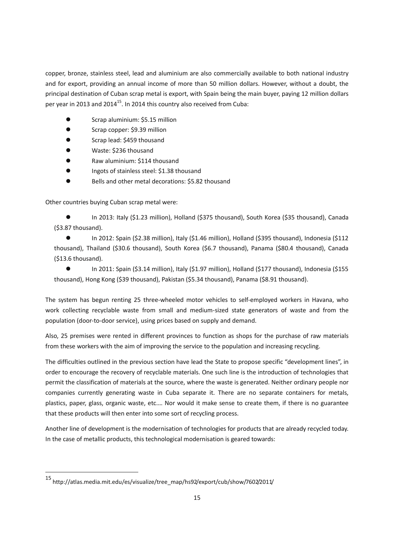copper, bronze, stainless steel, lead and aluminium are also commercially available to both national industry and for export, providing an annual income of more than 50 million dollars. However, without a doubt, the principal destination of Cuban scrap metal is export, with Spain being the main buyer, paying 12 million dollars per year in 2013 and 2014<sup>15</sup>. In 2014 this country also received from Cuba:

- Scrap aluminium: \$5.15 million
- **e** Scrap copper: \$9.39 million
- Scrap lead: \$459 thousand
- l Waste: \$236 thousand
- Raw aluminium: \$114 thousand
- l Ingots of stainless steel: \$1.38 thousand
- **e** Bells and other metal decorations: \$5.82 thousand

Other countries buying Cuban scrap metal were:

In 2013: Italy (\$1.23 million), Holland (\$375 thousand), South Korea (\$35 thousand), Canada (\$3.87 thousand).

● In 2012: Spain (\$2.38 million), Italy (\$1.46 million), Holland (\$395 thousand), Indonesia (\$112 thousand), Thailand (\$30.6 thousand), South Korea (\$6.7 thousand), Panama (\$80.4 thousand), Canada (\$13.6 thousand).

● In 2011: Spain (\$3.14 million), Italy (\$1.97 million), Holland (\$177 thousand), Indonesia (\$155 thousand), Hong Kong (\$39 thousand), Pakistan (\$5.34 thousand), Panama (\$8.91 thousand).

The system has begun renting 25 three-wheeled motor vehicles to self-employed workers in Havana, who work collecting recyclable waste from small and medium-sized state generators of waste and from the population (door-to-door service), using prices based on supply and demand.

Also, 25 premises were rented in different provinces to function as shops for the purchase of raw materials from these workers with the aim of improving the service to the population and increasing recycling.

The difficulties outlined in the previous section have lead the State to propose specific "development lines", in order to encourage the recovery of recyclable materials. One such line is the introduction of technologies that permit the classification of materials at the source, where the waste is generated. Neither ordinary people nor companies currently generating waste in Cuba separate it. There are no separate containers for metals, plastics, paper, glass, organic waste, etc.… Nor would it make sense to create them, if there is no guarantee that these products will then enter into some sort of recycling process.

Another line of development is the modernisation of technologies for products that are already recycled today. In the case of metallic products, this technological modernisation is geared towards:

 $\overline{a}$ 

 $^{15}$ http://atlas.media.mit.edu/es/visualize/tree\_map/hs92/export/cub/show/7602/2011/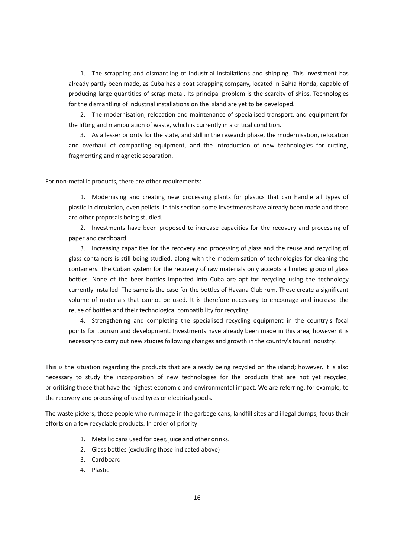1. The scrapping and dismantling of industrial installations and shipping. This investment has already partly been made, as Cuba has a boat scrapping company, located in Bahía Honda, capable of producing large quantities of scrap metal. Its principal problem is the scarcity of ships. Technologies for the dismantling of industrial installations on the island are yet to be developed.

2. The modernisation, relocation and maintenance of specialised transport, and equipment for the lifting and manipulation of waste, which is currently in a critical condition.

3. As a lesser priority for the state, and still in the research phase, the modernisation, relocation and overhaul of compacting equipment, and the introduction of new technologies for cutting, fragmenting and magnetic separation.

For non-metallic products, there are other requirements:

1. Modernising and creating new processing plants for plastics that can handle all types of plastic in circulation, even pellets. In this section some investments have already been made and there are other proposals being studied.

2. Investments have been proposed to increase capacities for the recovery and processing of paper and cardboard.

3. Increasing capacities for the recovery and processing of glass and the reuse and recycling of glass containers is still being studied, along with the modernisation of technologies for cleaning the containers. The Cuban system for the recovery of raw materials only accepts a limited group of glass bottles. None of the beer bottles imported into Cuba are apt for recycling using the technology currently installed. The same is the case for the bottles of Havana Club rum. These create a significant volume of materials that cannot be used. It is therefore necessary to encourage and increase the reuse of bottles and their technological compatibility for recycling.

4. Strengthening and completing the specialised recycling equipment in the country's focal points for tourism and development. Investments have already been made in this area, however it is necessary to carry out new studies following changes and growth in the country's tourist industry.

This is the situation regarding the products that are already being recycled on the island; however, it is also necessary to study the incorporation of new technologies for the products that are not yet recycled, prioritising those that have the highest economic and environmental impact. We are referring, for example, to the recovery and processing of used tyres or electrical goods.

The waste pickers, those people who rummage in the garbage cans, landfill sites and illegal dumps, focus their efforts on a few recyclable products. In order of priority:

- 1. Metallic cans used for beer, juice and other drinks.
- 2. Glass bottles (excluding those indicated above)
- 3. Cardboard
- 4. Plastic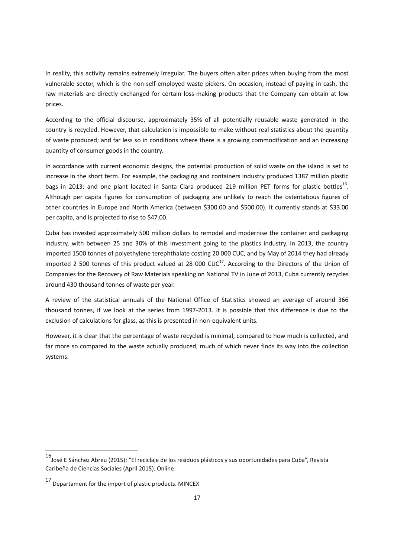In reality, this activity remains extremely irregular. The buyers often alter prices when buying from the most vulnerable sector, which is the non-self-employed waste pickers. On occasion, instead of paying in cash, the raw materials are directly exchanged for certain loss-making products that the Company can obtain at low prices.

According to the official discourse, approximately 35% of all potentially reusable waste generated in the country is recycled. However, that calculation is impossible to make without real statistics about the quantity of waste produced; and far less so in conditions where there is a growing commodification and an increasing quantity of consumer goods in the country.

In accordance with current economic designs, the potential production of solid waste on the island is set to increase in the short term. For example, the packaging and containers industry produced 1387 million plastic bags in 2013; and one plant located in Santa Clara produced 219 million PET forms for plastic bottles<sup>16</sup>. Although per capita figures for consumption of packaging are unlikely to reach the ostentatious figures of other countries in Europe and North America (between \$300.00 and \$500.00). It currently stands at \$33.00 per capita, and is projected to rise to \$47.00.

Cuba has invested approximately 500 million dollars to remodel and modernise the container and packaging industry, with between 25 and 30% of this investment going to the plastics industry. In 2013, the country imported 1500 tonnes of polyethylene terephthalate costing 20 000 CUC, and by May of 2014 they had already imported 2 500 tonnes of this product valued at 28 000 CUC $^{17}$ . According to the Directors of the Union of Companies for the Recovery of Raw Materials speaking on National TV in June of 2013, Cuba currently recycles around 430 thousand tonnes of waste per year.

A review of the statistical annuals of the National Office of Statistics showed an average of around 366 thousand tonnes, if we look at the series from 1997-2013. It is possible that this difference is due to the exclusion of calculations for glass, as this is presented in non-equivalent units.

However, it is clear that the percentage of waste recycled is minimal, compared to how much is collected, and far more so compared to the waste actually produced, much of which never finds its way into the collection systems.

l

<sup>16</sup>José E Sánchez Abreu (2015): "El reciclaje de los residuos plásticos y sus oportunidades para Cuba", Revista Caribeña de Ciencias Sociales (April 2015). Online:

 $17$  Departament for the import of plastic products. MINCEX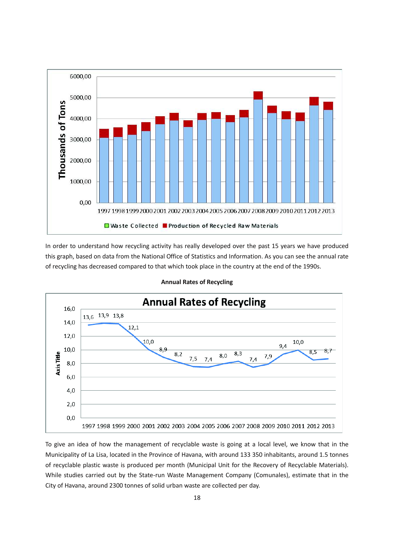

In order to understand how recycling activity has really developed over the past 15 years we have produced this graph, based on data from the National Office of Statistics and Information. As you can see the annual rate of recycling has decreased compared to that which took place in the country at the end of the 1990s.



#### **Annual Rates of Recycling**

To give an idea of how the management of recyclable waste is going at a local level, we know that in the Municipality of La Lisa, located in the Province of Havana, with around 133 350 inhabitants, around 1.5 tonnes of recyclable plastic waste is produced per month (Municipal Unit for the Recovery of Recyclable Materials). While studies carried out by the State-run Waste Management Company (Comunales), estimate that in the City of Havana, around 2300 tonnes of solid urban waste are collected per day.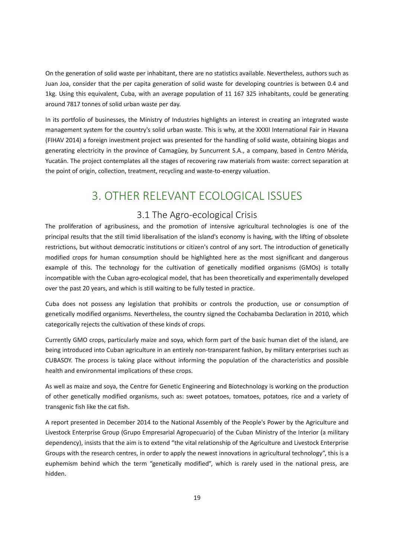On the generation of solid waste per inhabitant, there are no statistics available. Nevertheless, authors such as Juan Joa, consider that the per capita generation of solid waste for developing countries is between 0.4 and 1kg. Using this equivalent, Cuba, with an average population of 11 167 325 inhabitants, could be generating around 7817 tonnes of solid urban waste per day.

In its portfolio of businesses, the Ministry of Industries highlights an interest in creating an integrated waste management system for the country's solid urban waste. This is why, at the XXXII International Fair in Havana (FIHAV 2014) a foreign investment project was presented for the handling of solid waste, obtaining biogas and generating electricity in the province of Camagüey, by Suncurrent S.A., a company, based in Centro Mérida, Yucatán. The project contemplates all the stages of recovering raw materials from waste: correct separation at the point of origin, collection, treatment, recycling and waste-to-energy valuation.

# 3. OTHER RELEVANT ECOLOGICAL ISSUES

### 3.1 The Agro-ecological Crisis

The proliferation of agribusiness, and the promotion of intensive agricultural technologies is one of the principal results that the still timid liberalisation of the island's economy is having, with the lifting of obsolete restrictions, but without democratic institutions or citizen's control of any sort. The introduction of genetically modified crops for human consumption should be highlighted here as the most significant and dangerous example of this. The technology for the cultivation of genetically modified organisms (GMOs) is totally incompatible with the Cuban agro-ecological model, that has been theoretically and experimentally developed over the past 20 years, and which is still waiting to be fully tested in practice.

Cuba does not possess any legislation that prohibits or controls the production, use or consumption of genetically modified organisms. Nevertheless, the country signed the Cochabamba Declaration in 2010, which categorically rejects the cultivation of these kinds of crops.

Currently GMO crops, particularly maize and soya, which form part of the basic human diet of the island, are being introduced into Cuban agriculture in an entirely non-transparent fashion, by military enterprises such as CUBASOY. The process is taking place without informing the population of the characteristics and possible health and environmental implications of these crops.

As well as maize and soya, the Centre for Genetic Engineering and Biotechnology is working on the production of other genetically modified organisms, such as: sweet potatoes, tomatoes, potatoes, rice and a variety of transgenic fish like the cat fish.

A report presented in December 2014 to the National Assembly of the People's Power by the Agriculture and Livestock Enterprise Group (Grupo Empresarial Agropecuario) of the Cuban Ministry of the Interior (a military dependency), insists that the aim is to extend "the vital relationship of the Agriculture and Livestock Enterprise Groups with the research centres, in order to apply the newest innovations in agricultural technology", this is a euphemism behind which the term "genetically modified", which is rarely used in the national press, are hidden.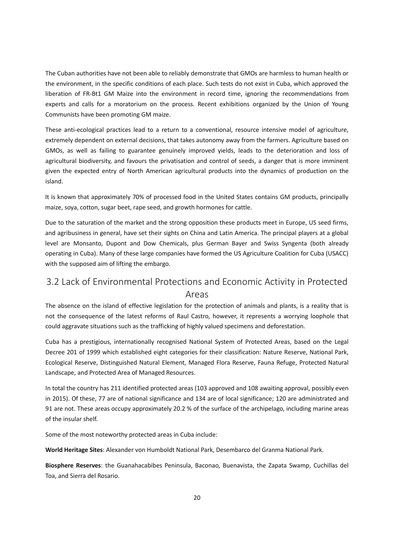The Cuban authorities have not been able to reliably demonstrate that GMOs are harmless to human health or the environment, in the specific conditions of each place. Such tests do not exist in Cuba, which approved the liberation of FR-Bt1 GM Maize into the environment in record time, ignoring the recommendations from experts and calls for a moratorium on the process. Recent exhibitions organized by the Union of Young Communists have been promoting GM maize.

These anti-ecological practices lead to a return to a conventional, resource intensive model of agriculture, extremely dependent on external decisions, that takes autonomy away from the farmers. Agriculture based on GMOs, as well as failing to guarantee genuinely improved yields, leads to the deterioration and loss of agricultural biodiversity, and favours the privatisation and control of seeds, a danger that is more imminent given the expected entry of North American agricultural products into the dynamics of production on the island.

It is known that approximately 70% of processed food in the United States contains GM products, principally maize, soya, cotton, sugar beet, rape seed, and growth hormones for cattle.

Due to the saturation of the market and the strong opposition these products meet in Europe, US seed firms, and agribusiness in general, have set their sights on China and Latin America. The principal players at a global level are Monsanto, Dupont and Dow Chemicals, plus German Bayer and Swiss Syngenta (both already operating in Cuba). Many of these large companies have formed the US Agriculture Coalition for Cuba (USACC) with the supposed aim of lifting the embargo.

### 3.2 Lack of Environmental Protections and Economic Activity in Protected Areas

The absence on the island of effective legislation for the protection of animals and plants, is a reality that is not the consequence of the latest reforms of Raul Castro, however, it represents a worrying loophole that could aggravate situations such as the trafficking of highly valued specimens and deforestation.

Cuba has a prestigious, internationally recognised National System of Protected Areas, based on the Legal Decree 201 of 1999 which established eight categories for their classification: Nature Reserve, National Park, Ecological Reserve, Distinguished Natural Element, Managed Flora Reserve, Fauna Refuge, Protected Natural Landscape, and Protected Area of Managed Resources.

In total the country has 211 identified protected areas (103 approved and 108 awaiting approval, possibly even in 2015). Of these, 77 are of national significance and 134 are of local significance; 120 are administrated and 91 are not. These areas occupy approximately 20.2 % of the surface of the archipelago, including marine areas of the insular shelf.

Some of the most noteworthy protected areas in Cuba include:

**World Heritage Sites**: Alexander von Humboldt National Park, Desembarco del Granma National Park.

**Biosphere Reserves**: the Guanahacabibes Peninsula, Baconao, Buenavista, the Zapata Swamp, Cuchillas del Toa, and Sierra del Rosario.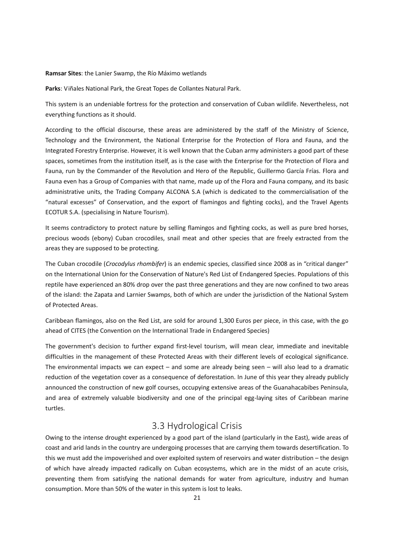#### **Ramsar Sites**: the Lanier Swamp, the Río Máximo wetlands

**Parks**: Viñales National Park, the Great Topes de Collantes Natural Park.

This system is an undeniable fortress for the protection and conservation of Cuban wildlife. Nevertheless, not everything functions as it should.

According to the official discourse, these areas are administered by the staff of the Ministry of Science, Technology and the Environment, the National Enterprise for the Protection of Flora and Fauna, and the Integrated Forestry Enterprise. However, it is well known that the Cuban army administers a good part of these spaces, sometimes from the institution itself, as is the case with the Enterprise for the Protection of Flora and Fauna, run by the Commander of the Revolution and Hero of the Republic, Guillermo García Frías. Flora and Fauna even has a Group of Companies with that name, made up of the Flora and Fauna company, and its basic administrative units, the Trading Company ALCONA S.A (which is dedicated to the commercialisation of the "natural excesses" of Conservation, and the export of flamingos and fighting cocks), and the Travel Agents ECOTUR S.A. (specialising in Nature Tourism).

It seems contradictory to protect nature by selling flamingos and fighting cocks, as well as pure bred horses, precious woods (ebony) Cuban crocodiles, snail meat and other species that are freely extracted from the areas they are supposed to be protecting.

The Cuban crocodile (*Crocodylus rhombifer*) is an endemic species, classified since 2008 as in "critical danger" on the International Union for the Conservation of Nature's Red List of Endangered Species. Populations of this reptile have experienced an 80% drop over the past three generations and they are now confined to two areas of the island: the Zapata and Larnier Swamps, both of which are under the jurisdiction of the National System of Protected Areas.

Caribbean flamingos, also on the Red List, are sold for around 1,300 Euros per piece, in this case, with the go ahead of CITES (the Convention on the International Trade in Endangered Species)

The government's decision to further expand first-level tourism, will mean clear, immediate and inevitable difficulties in the management of these Protected Areas with their different levels of ecological significance. The environmental impacts we can expect – and some are already being seen – will also lead to a dramatic reduction of the vegetation cover as a consequence of deforestation. In June of this year they already publicly announced the construction of new golf courses, occupying extensive areas of the Guanahacabibes Peninsula, and area of extremely valuable biodiversity and one of the principal egg-laying sites of Caribbean marine turtles.

### 3.3 Hydrological Crisis

Owing to the intense drought experienced by a good part of the island (particularly in the East), wide areas of coast and arid lands in the country are undergoing processes that are carrying them towards desertification. To this we must add the impoverished and over exploited system of reservoirs and water distribution – the design of which have already impacted radically on Cuban ecosystems, which are in the midst of an acute crisis, preventing them from satisfying the national demands for water from agriculture, industry and human consumption. More than 50% of the water in this system is lost to leaks.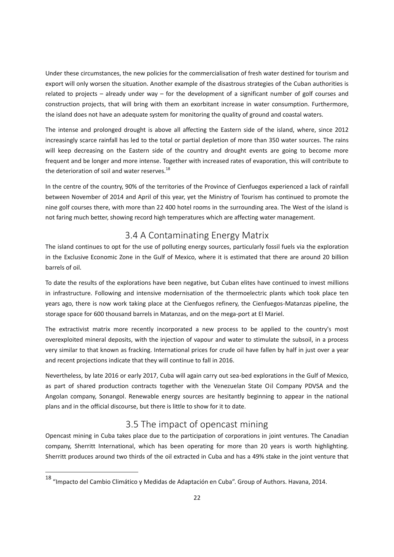Under these circumstances, the new policies for the commercialisation of fresh water destined for tourism and export will only worsen the situation. Another example of the disastrous strategies of the Cuban authorities is related to projects – already under way – for the development of a significant number of golf courses and construction projects, that will bring with them an exorbitant increase in water consumption. Furthermore, the island does not have an adequate system for monitoring the quality of ground and coastal waters.

The intense and prolonged drought is above all affecting the Eastern side of the island, where, since 2012 increasingly scarce rainfall has led to the total or partial depletion of more than 350 water sources. The rains will keep decreasing on the Eastern side of the country and drought events are going to become more frequent and be longer and more intense. Together with increased rates of evaporation, this will contribute to the deterioration of soil and water reserves. $^{18}$ 

In the centre of the country, 90% of the territories of the Province of Cienfuegos experienced a lack of rainfall between November of 2014 and April of this year, yet the Ministry of Tourism has continued to promote the nine golf courses there, with more than 22 400 hotel rooms in the surrounding area. The West of the island is not faring much better, showing record high temperatures which are affecting water management.

### 3.4 A Contaminating Energy Matrix

The island continues to opt for the use of polluting energy sources, particularly fossil fuels via the exploration in the Exclusive Economic Zone in the Gulf of Mexico, where it is estimated that there are around 20 billion barrels of oil.

To date the results of the explorations have been negative, but Cuban elites have continued to invest millions in infrastructure. Following and intensive modernisation of the thermoelectric plants which took place ten years ago, there is now work taking place at the Cienfuegos refinery, the Cienfuegos-Matanzas pipeline, the storage space for 600 thousand barrels in Matanzas, and on the mega-port at El Mariel.

The extractivist matrix more recently incorporated a new process to be applied to the country's most overexploited mineral deposits, with the injection of vapour and water to stimulate the subsoil, in a process very similar to that known as fracking. International prices for crude oil have fallen by half in just over a year and recent projections indicate that they will continue to fall in 2016.

Nevertheless, by late 2016 or early 2017, Cuba will again carry out sea-bed explorations in the Gulf of Mexico, as part of shared production contracts together with the Venezuelan State Oil Company PDVSA and the Angolan company, Sonangol. Renewable energy sources are hesitantly beginning to appear in the national plans and in the official discourse, but there is little to show for it to date.

### 3.5 The impact of opencast mining

Opencast mining in Cuba takes place due to the participation of corporations in joint ventures. The Canadian company, Sherritt International, which has been operating for more than 20 years is worth highlighting. Sherritt produces around two thirds of the oil extracted in Cuba and has a 49% stake in the joint venture that

 $\overline{\phantom{a}}$ 

<sup>&</sup>lt;sup>18</sup> "Impacto del Cambio Climático y Medidas de Adaptación en Cuba". Group of Authors. Havana, 2014.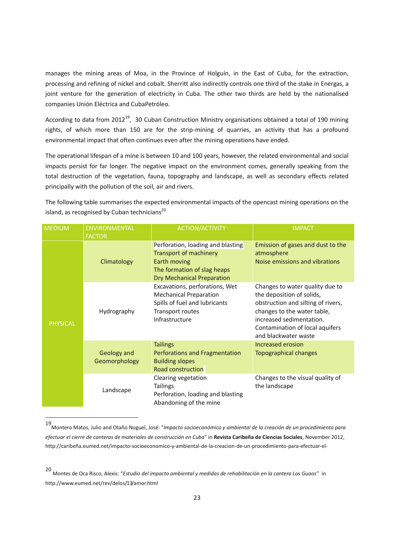manages the mining areas of Moa, in the Province of Holguín, in the East of Cuba, for the extraction, processing and refining of nickel and cobalt. Sherritt also indirectly controls one third of the stake in Energas, a joint venture for the generation of electricity in Cuba. The other two thirds are held by the nationalised companies Unión Eléctrica and CubaPetróleo.

According to data from 2012<sup>19</sup>, 30 Cuban Construction Ministry organisations obtained a total of 190 mining rights, of which more than 150 are for the strip-mining of quarries, an activity that has a profound environmental impact that often continues even after the mining operations have ended.

The operational lifespan of a mine is between 10 and 100 years, however, the related environmental and social impacts persist for far longer. The negative impact on the environment comes, generally speaking from the total destruction of the vegetation, fauna, topography and landscape, as well as secondary effects related principally with the pollution of the soil, air and rivers.

The following table summarises the expected environmental impacts of the opencast mining operations on the island, as recognised by Cuban technicians<sup>20</sup>

| <b>MEDIUM</b>   | <b>ENVIRONMENTAL</b><br><b>FACTOR</b> | <b>ACTION/ACTIVITY</b>                                                                                                                                 | <b>IMPACT</b>                                                                                                                                                                                                            |
|-----------------|---------------------------------------|--------------------------------------------------------------------------------------------------------------------------------------------------------|--------------------------------------------------------------------------------------------------------------------------------------------------------------------------------------------------------------------------|
| <b>PHYSICAL</b> | Climatology                           | Perforation, loading and blasting<br><b>Transport of machinery</b><br>Earth moving<br>The formation of slag heaps<br><b>Dry Mechanical Preparation</b> | Emission of gases and dust to the<br>atmosphere<br>Noise emissions and vibrations                                                                                                                                        |
|                 | Hydrography                           | Excavations, perforations, Wet<br><b>Mechanical Preparation</b><br>Spills of fuel and lubricants<br>Transport routes<br>Infrastructure                 | Changes to water quality due to<br>the deposition of solids,<br>obstruction and silting of rivers,<br>changes to the water table,<br>increased sedimentation.<br>Contamination of local aquifers<br>and blackwater waste |
|                 | Geology and<br>Geomorphology          | <b>Tailings</b><br>Perforations and Fragmentation<br><b>Building slopes</b><br>Road construction                                                       | <b>Increased erosion</b><br><b>Topographical changes</b>                                                                                                                                                                 |
|                 | Landscape                             | Clearing vegetation<br><b>Tailings</b><br>Perforation, loading and blasting<br>Abandoning of the mine                                                  | Changes to the visual quality of<br>the landscape                                                                                                                                                                        |

<sup>19</sup> Montero Matos, Julio and Otaño Noguel, José: "*Impacto socioeconómico y ambiental de la creación de un procedimiento para efectuar el cierre de canteras de materiales de construcción en Cuba*" in **Revista Caribeña de Ciencias Sociales**, November 2012, http://caribeña.eumed.net/impacto-socioeconomico-y-ambiental-de-la-creacion-de-un-procedimiento-para-efectuar-el-

l

<sup>20</sup>  Montes de Oca Risco, Alexis: "*Estudio del impacto ambiental y medidas de rehabilitación en la cantera Los Guaos*" in http://www.eumed.net/rev/delos/13/amor.html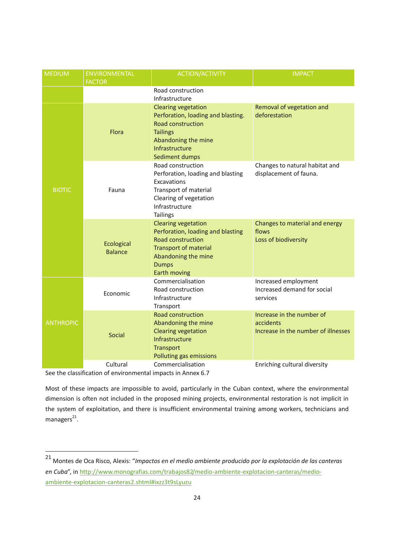| <b>MEDIUM</b>    | <b>ENVIRONMENTAL</b><br><b>FACTOR</b> | <b>ACTION/ACTIVITY</b>                                                                                                                                                                    | <b>IMPACT</b>                                                                 |
|------------------|---------------------------------------|-------------------------------------------------------------------------------------------------------------------------------------------------------------------------------------------|-------------------------------------------------------------------------------|
|                  |                                       | Road construction<br>Infrastructure                                                                                                                                                       |                                                                               |
| <b>BIOTIC</b>    | Flora                                 | <b>Clearing vegetation</b><br>Perforation, loading and blasting.<br><b>Road construction</b><br><b>Tailings</b><br>Abandoning the mine<br>Infrastructure<br>Sediment dumps                | Removal of vegetation and<br>deforestation                                    |
|                  | Fauna                                 | Road construction<br>Perforation, loading and blasting<br>Excavations<br>Transport of material<br>Clearing of vegetation<br>Infrastructure<br><b>Tailings</b>                             | Changes to natural habitat and<br>displacement of fauna.                      |
|                  | Ecological<br><b>Balance</b>          | <b>Clearing vegetation</b><br>Perforation, loading and blasting<br><b>Road construction</b><br><b>Transport of material</b><br>Abandoning the mine<br><b>Dumps</b><br><b>Earth moving</b> | Changes to material and energy<br>flows<br>Loss of biodiversity               |
| <b>ANTHROPIC</b> | Economic                              | Commercialisation<br>Road construction<br>Infrastructure<br>Transport                                                                                                                     | Increased employment<br>Increased demand for social<br>services               |
|                  | <b>Social</b>                         | <b>Road construction</b><br>Abandoning the mine<br><b>Clearing vegetation</b><br>Infrastructure<br><b>Transport</b><br>Polluting gas emissions                                            | Increase in the number of<br>accidents<br>Increase in the number of illnesses |
|                  | Cultural                              | Commercialisation                                                                                                                                                                         | Enriching cultural diversity                                                  |

See the classification of environmental impacts in Annex 6.7

 $\overline{\phantom{a}}$ 

Most of these impacts are impossible to avoid, particularly in the Cuban context, where the environmental dimension is often not included in the proposed mining projects, environmental restoration is not implicit in the system of exploitation, and there is insufficient environmental training among workers, technicians and managers<sup>21</sup>.

<sup>21</sup> Montes de Oca Risco, Alexis: "*Impactos en el medio ambiente producido por la explotación de las canteras en Cuba*", in http://www.monografias.com/trabajos82/medio-ambiente-explotacion-canteras/medioambiente-explotacion-canteras2.shtml#ixzz3t9sLyuzu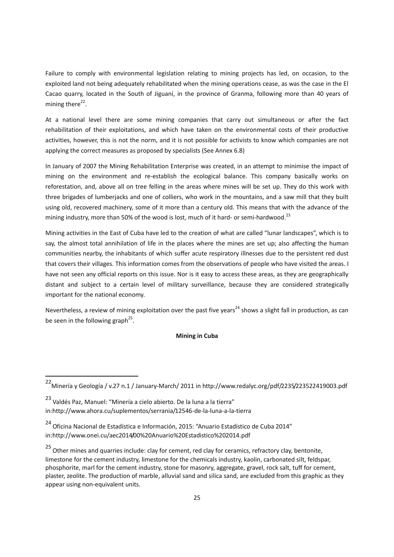Failure to comply with environmental legislation relating to mining projects has led, on occasion, to the exploited land not being adequately rehabilitated when the mining operations cease, as was the case in the El Cacao quarry, located in the South of Jiguaní, in the province of Granma, following more than 40 years of mining there<sup>22</sup>.

At a national level there are some mining companies that carry out simultaneous or after the fact rehabilitation of their exploitations, and which have taken on the environmental costs of their productive activities, however, this is not the norm, and it is not possible for activists to know which companies are not applying the correct measures as proposed by specialists (See Annex 6.8)

In January of 2007 the Mining Rehabilitation Enterprise was created, in an attempt to minimise the impact of mining on the environment and re-establish the ecological balance. This company basically works on reforestation, and, above all on tree felling in the areas where mines will be set up. They do this work with three brigades of lumberjacks and one of colliers, who work in the mountains, and a saw mill that they built using old, recovered machinery, some of it more than a century old. This means that with the advance of the mining industry, more than 50% of the wood is lost, much of it hard- or semi-hardwood.<sup>23</sup>

Mining activities in the East of Cuba have led to the creation of what are called "lunar landscapes", which is to say, the almost total annihilation of life in the places where the mines are set up; also affecting the human communities nearby, the inhabitants of which suffer acute respiratory illnesses due to the persistent red dust that covers their villages. This information comes from the observations of people who have visited the areas. I have not seen any official reports on this issue. Nor is it easy to access these areas, as they are geographically distant and subject to a certain level of military surveillance, because they are considered strategically important for the national economy.

Nevertheless, a review of mining exploitation over the past five years<sup>24</sup> shows a slight fall in production, as can be seen in the following graph<sup>25</sup>.

#### **Mining in Cuba**

l

<sup>22</sup>Minería y Geología / v.27 n.1 / January-March/ 2011 in http://www.redalyc.org/pdf/2235/223522419003.pdf

<sup>&</sup>lt;sup>23</sup> Valdés Paz, Manuel: "Minería a cielo abierto. De la luna a la tierra" in:http://www.ahora.cu/suplementos/serrania/12546-de-la-luna-a-la-tierra

<sup>24</sup>Oficina Nacional de Estadística e Información, 2015: "Anuario Estadístico de Cuba 2014" in:http://www.onei.cu/aec2014/00%20Anuario%20Estadistico%202014.pdf

<sup>&</sup>lt;sup>25</sup> Other mines and quarries include: clay for cement, red clay for ceramics, refractory clay, bentonite, limestone for the cement industry, limestone for the chemicals industry, kaolin, carbonated silt, feldspar, phosphorite, marl for the cement industry, stone for masonry, aggregate, gravel, rock salt, tuff for cement, plaster, zeolite. The production of marble, alluvial sand and silica sand, are excluded from this graphic as they appear using non-equivalent units.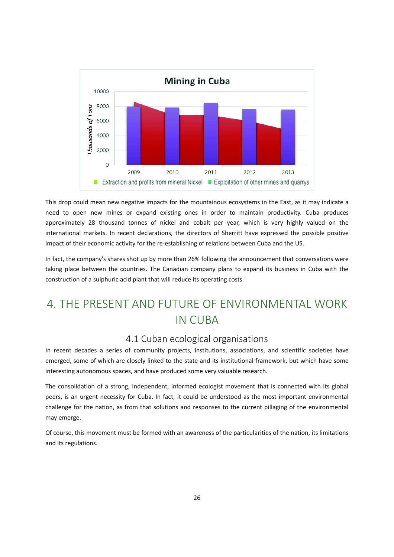

This drop could mean new negative impacts for the mountainous ecosystems in the East, as it may indicate a need to open new mines or expand existing ones in order to maintain productivity. Cuba produces approximately 28 thousand tonnes of nickel and cobalt per year, which is very highly valued on the international markets. In recent declarations, the directors of Sherritt have expressed the possible positive impact of their economic activity for the re-establishing of relations between Cuba and the US.

In fact, the company's shares shot up by more than 26% following the announcement that conversations were taking place between the countries. The Canadian company plans to expand its business in Cuba with the construction of a sulphuric acid plant that will reduce its operating costs.

# 4. THE PRESENT AND FUTURE OF ENVIRONMENTAL WORK IN CUBA

### 4.1 Cuban ecological organisations

In recent decades a series of community projects, institutions, associations, and scientific societies have emerged, some of which are closely linked to the state and its institutional framework, but which have some interesting autonomous spaces, and have produced some very valuable research.

The consolidation of a strong, independent, informed ecologist movement that is connected with its global peers, is an urgent necessity for Cuba. In fact, it could be understood as the most important environmental challenge for the nation, as from that solutions and responses to the current pillaging of the environmental may emerge.

Of course, this movement must be formed with an awareness of the particularities of the nation, its limitations and its regulations.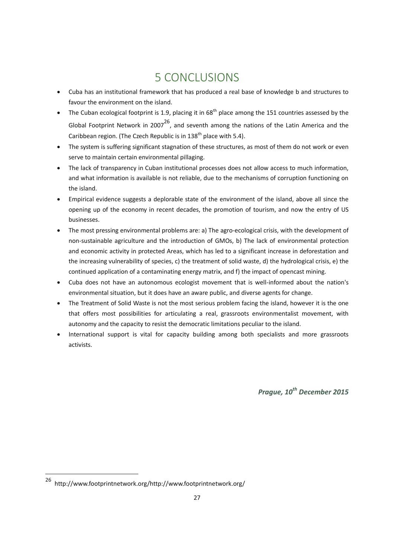# 5 CONCLUSIONS

- Cuba has an institutional framework that has produced a real base of knowledge b and structures to favour the environment on the island.
- The Cuban ecological footprint is 1.9, placing it in 68<sup>th</sup> place among the 151 countries assessed by the Global Footprint Network in 2007<sup>26</sup>, and seventh among the nations of the Latin America and the Caribbean region. (The Czech Republic is in  $138<sup>th</sup>$  place with 5.4).
- The system is suffering significant stagnation of these structures, as most of them do not work or even serve to maintain certain environmental pillaging.
- The lack of transparency in Cuban institutional processes does not allow access to much information, and what information is available is not reliable, due to the mechanisms of corruption functioning on the island.
- · Empirical evidence suggests a deplorable state of the environment of the island, above all since the opening up of the economy in recent decades, the promotion of tourism, and now the entry of US businesses.
- The most pressing environmental problems are: a) The agro-ecological crisis, with the development of non-sustainable agriculture and the introduction of GMOs, b) The lack of environmental protection and economic activity in protected Areas, which has led to a significant increase in deforestation and the increasing vulnerability of species, c) the treatment of solid waste, d) the hydrological crisis, e) the continued application of a contaminating energy matrix, and f) the impact of opencast mining.
- Cuba does not have an autonomous ecologist movement that is well-informed about the nation's environmental situation, but it does have an aware public, and diverse agents for change.
- The Treatment of Solid Waste is not the most serious problem facing the island, however it is the one that offers most possibilities for articulating a real, grassroots environmentalist movement, with autonomy and the capacity to resist the democratic limitations peculiar to the island.
- · International support is vital for capacity building among both specialists and more grassroots activists.

*Prague, 10th December 2015*

 $\overline{\phantom{a}}$ 

<sup>&</sup>lt;sup>26</sup>http://www.footprintnetwork.org/http://www.footprintnetwork.org/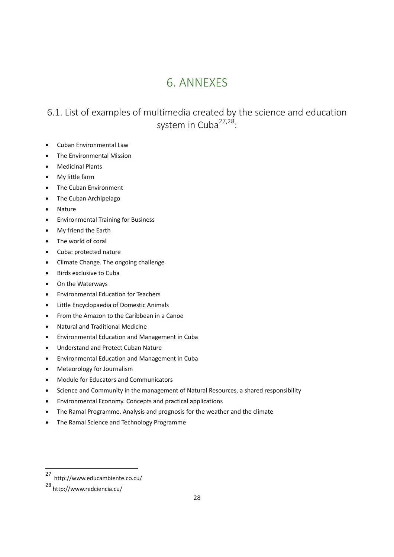# 6. ANNEXES

# 6.1. List of examples of multimedia created by the science and education system in Cuba<sup>27,28</sup>:

- · Cuban Environmental Law
- The Environmental Mission
- · Medicinal Plants
- · My little farm
- The Cuban Environment
- The Cuban Archipelago
- · Nature
- · Environmental Training for Business
- · My friend the Earth
- The world of coral
- Cuba: protected nature
- · Climate Change. The ongoing challenge
- Birds exclusive to Cuba
- On the Waterways
- · Environmental Education for Teachers
- Little Encyclopaedia of Domestic Animals
- · From the Amazon to the Caribbean in a Canoe
- · Natural and Traditional Medicine
- · Environmental Education and Management in Cuba
- · Understand and Protect Cuban Nature
- · Environmental Education and Management in Cuba
- Meteorology for Journalism
- · Module for Educators and Communicators
- Science and Community in the management of Natural Resources, a shared responsibility
- · Environmental Economy. Concepts and practical applications
- The Ramal Programme. Analysis and prognosis for the weather and the climate
- · The Ramal Science and Technology Programme

l

<sup>&</sup>lt;sup>27</sup> http://www.educambiente.co.cu/

<sup>28</sup> http://www.redciencia.cu/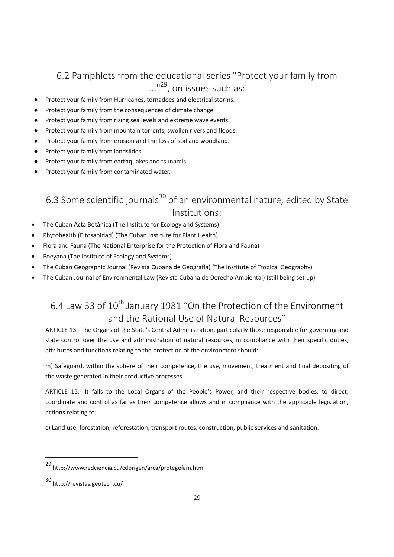### 6.2 Pamphlets from the educational series "Protect your family from ..."<sup>29</sup>, on issues such as:

- Protect your family from Hurricanes, tornadoes and electrical storms.
- Protect your family from the consequences of climate change.
- Protect your family from rising sea levels and extreme wave events.
- Protect your family from mountain torrents, swollen rivers and floods.
- Protect your family from erosion and the loss of soil and woodland.
- Protect your family from landslides.
- Protect your family from earthquakes and tsunamis.
- Protect your family from contaminated water.

# 6.3 Some scientific journals<sup>30</sup> of an environmental nature, edited by State Institutions:

- The Cuban Acta Botánica (The Institute for Ecology and Systems)
- Phytohealth (Fitosanidad) (The Cuban Institute for Plant Health)
- · Flora and Fauna (The National Enterprise for the Protection of Flora and Fauna)
- Poeyana (The Institute of Ecology and Systems)
- · The Cuban Geographic Journal (Revista Cubana de Geografía) (The Institute of Tropical Geography)
- · The Cuban Journal of Environmental Law (Revista Cubana de Derecho Ambiental) (still being set up)

# 6.4 Law 33 of 10<sup>th</sup> January 1981 "On the Protection of the Environment and the Rational Use of Natural Resources"

ARTICLE 13.- The Organs of the State's Central Administration, particularly those responsible for governing and state control over the use and administration of natural resources, in compliance with their specific duties, attributes and functions relating to the protection of the environment should:

m) Safeguard, within the sphere of their competence, the use, movement, treatment and final depositing of the waste generated in their productive processes.

ARTICLE 15.- It falls to the Local Organs of the People's Power, and their respective bodies, to direct, coordinate and control as far as their competence allows and in compliance with the applicable legislation, actions relating to:

c) Land use, forestation, reforestation, transport routes, construction, public services and sanitation.

 $\overline{\phantom{a}}$ 

<sup>29</sup> http://www.redciencia.cu/cdorigen/arca/protegefam.html

<sup>30</sup> http://revistas.geotech.cu/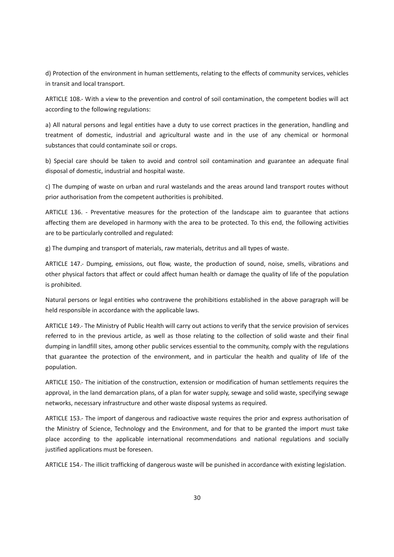d) Protection of the environment in human settlements, relating to the effects of community services, vehicles in transit and local transport.

ARTICLE 108.- With a view to the prevention and control of soil contamination, the competent bodies will act according to the following regulations:

a) All natural persons and legal entities have a duty to use correct practices in the generation, handling and treatment of domestic, industrial and agricultural waste and in the use of any chemical or hormonal substances that could contaminate soil or crops.

b) Special care should be taken to avoid and control soil contamination and guarantee an adequate final disposal of domestic, industrial and hospital waste.

c) The dumping of waste on urban and rural wastelands and the areas around land transport routes without prior authorisation from the competent authorities is prohibited.

ARTICLE 136. - Preventative measures for the protection of the landscape aim to guarantee that actions affecting them are developed in harmony with the area to be protected. To this end, the following activities are to be particularly controlled and regulated:

g) The dumping and transport of materials, raw materials, detritus and all types of waste.

ARTICLE 147.- Dumping, emissions, out flow, waste, the production of sound, noise, smells, vibrations and other physical factors that affect or could affect human health or damage the quality of life of the population is prohibited.

Natural persons or legal entities who contravene the prohibitions established in the above paragraph will be held responsible in accordance with the applicable laws.

ARTICLE 149.- The Ministry of Public Health will carry out actions to verify that the service provision of services referred to in the previous article, as well as those relating to the collection of solid waste and their final dumping in landfill sites, among other public services essential to the community, comply with the regulations that guarantee the protection of the environment, and in particular the health and quality of life of the population.

ARTICLE 150.- The initiation of the construction, extension or modification of human settlements requires the approval, in the land demarcation plans, of a plan for water supply, sewage and solid waste, specifying sewage networks, necessary infrastructure and other waste disposal systems as required.

ARTICLE 153.- The import of dangerous and radioactive waste requires the prior and express authorisation of the Ministry of Science, Technology and the Environment, and for that to be granted the import must take place according to the applicable international recommendations and national regulations and socially justified applications must be foreseen.

ARTICLE 154.- The illicit trafficking of dangerous waste will be punished in accordance with existing legislation.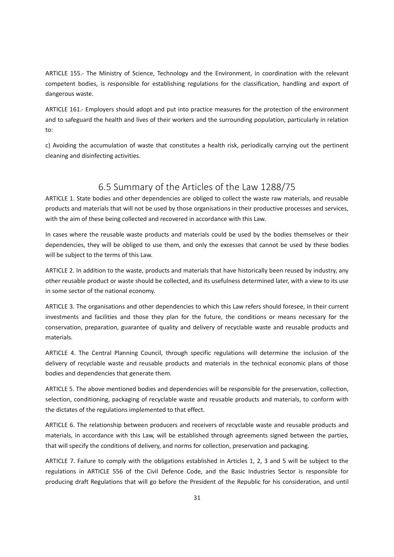ARTICLE 155.- The Ministry of Science, Technology and the Environment, in coordination with the relevant competent bodies, is responsible for establishing regulations for the classification, handling and export of dangerous waste.

ARTICLE 161.- Employers should adopt and put into practice measures for the protection of the environment and to safeguard the health and lives of their workers and the surrounding population, particularly in relation to:

c) Avoiding the accumulation of waste that constitutes a health risk, periodically carrying out the pertinent cleaning and disinfecting activities.

### 6.5 Summary of the Articles of the Law 1288/75

ARTICLE 1. State bodies and other dependencies are obliged to collect the waste raw materials, and reusable products and materials that will not be used by those organisations in their productive processes and services, with the aim of these being collected and recovered in accordance with this Law.

In cases where the reusable waste products and materials could be used by the bodies themselves or their dependencies, they will be obliged to use them, and only the excesses that cannot be used by these bodies will be subject to the terms of this Law.

ARTICLE 2. In addition to the waste, products and materials that have historically been reused by industry, any other reusable product or waste should be collected, and its usefulness determined later, with a view to its use in some sector of the national economy.

ARTICLE 3. The organisations and other dependencies to which this Law refers should foresee, in their current investments and facilities and those they plan for the future, the conditions or means necessary for the conservation, preparation, guarantee of quality and delivery of recyclable waste and reusable products and materials.

ARTICLE 4. The Central Planning Council, through specific regulations will determine the inclusion of the delivery of recyclable waste and reusable products and materials in the technical economic plans of those bodies and dependencies that generate them.

ARTICLE 5. The above mentioned bodies and dependencies will be responsible for the preservation, collection, selection, conditioning, packaging of recyclable waste and reusable products and materials, to conform with the dictates of the regulations implemented to that effect.

ARTICLE 6. The relationship between producers and receivers of recyclable waste and reusable products and materials, in accordance with this Law, will be established through agreements signed between the parties, that will specify the conditions of delivery, and norms for collection, preservation and packaging.

ARTICLE 7. Failure to comply with the obligations established in Articles 1, 2, 3 and 5 will be subject to the regulations in ARTICLE 556 of the Civil Defence Code, and the Basic Industries Sector is responsible for producing draft Regulations that will go before the President of the Republic for his consideration, and until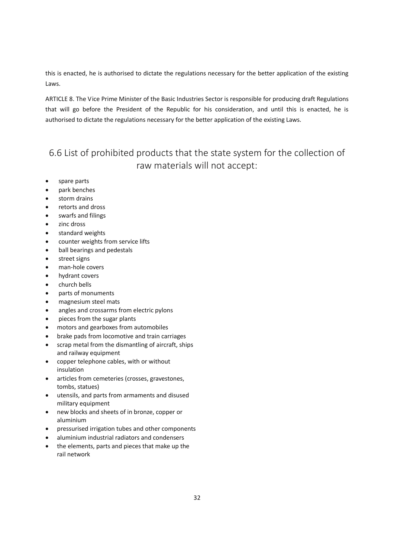this is enacted, he is authorised to dictate the regulations necessary for the better application of the existing Laws.

ARTICLE 8. The Vice Prime Minister of the Basic Industries Sector is responsible for producing draft Regulations that will go before the President of the Republic for his consideration, and until this is enacted, he is authorised to dictate the regulations necessary for the better application of the existing Laws.

### 6.6 List of prohibited products that the state system for the collection of raw materials will not accept:

- spare parts
- park benches
- storm drains
- · retorts and dross
- swarfs and filings
- zinc dross
- standard weights
- counter weights from service lifts
- · ball bearings and pedestals
- street signs
- man-hole covers
- hydrant covers
- · church bells
- parts of monuments
- · magnesium steel mats
- angles and crossarms from electric pylons
- pieces from the sugar plants
- · motors and gearboxes from automobiles
- brake pads from locomotive and train carriages
- scrap metal from the dismantling of aircraft, ships and railway equipment
- copper telephone cables, with or without insulation
- articles from cemeteries (crosses, gravestones, tombs, statues)
- utensils, and parts from armaments and disused military equipment
- new blocks and sheets of in bronze, copper or aluminium
- pressurised irrigation tubes and other components
- aluminium industrial radiators and condensers
- · the elements, parts and pieces that make up the rail network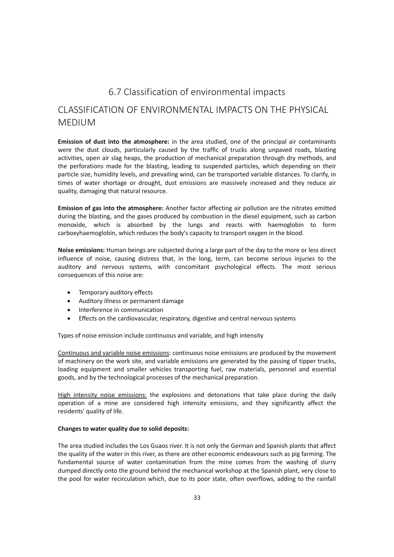### 6.7 Classification of environmental impacts

### CLASSIFICATION OF ENVIRONMENTAL IMPACTS ON THE PHYSICAL MEDIUM

**Emission of dust into the atmosphere:** in the area studied, one of the principal air contaminants were the dust clouds, particularly caused by the traffic of trucks along unpaved roads, blasting activities, open air slag heaps, the production of mechanical preparation through dry methods, and the perforations made for the blasting, leading to suspended particles, which depending on their particle size, humidity levels, and prevailing wind, can be transported variable distances. To clarify, in times of water shortage or drought, dust emissions are massively increased and they reduce air quality, damaging that natural resource.

**Emission of gas into the atmosphere:** Another factor affecting air pollution are the nitrates emitted during the blasting, and the gases produced by combustion in the diesel equipment, such as carbon monoxide, which is absorbed by the lungs and reacts with haemoglobin to form carboxyhaemoglobin, which reduces the body's capacity to transport oxygen in the blood.

**Noise emissions:** Human beings are subjected during a large part of the day to the more or less direct influence of noise, causing distress that, in the long, term, can become serious injuries to the auditory and nervous systems, with concomitant psychological effects. The most serious consequences of this noise are:

- · Temporary auditory effects
- · Auditory illness or permanent damage
- · Interference in communication
- · Effects on the cardiovascular, respiratory, digestive and central nervous systems

Types of noise emission include continuous and variable, and high intensity

Continuous and variable noise emissions: continuous noise emissions are produced by the movement of machinery on the work site, and variable emissions are generated by the passing of tipper trucks, loading equipment and smaller vehicles transporting fuel, raw materials, personnel and essential goods, and by the technological processes of the mechanical preparation.

High intensity noise emissions: the explosions and detonations that take place during the daily operation of a mine are considered high intensity emissions, and they significantly affect the residents' quality of life.

#### **Changes to water quality due to solid deposits:**

The area studied includes the Los Guaos river. It is not only the German and Spanish plants that affect the quality of the water in this river, as there are other economic endeavours such as pig farming. The fundamental source of water contamination from the mine comes from the washing of slurry dumped directly onto the ground behind the mechanical workshop at the Spanish plant, very close to the pool for water recirculation which, due to its poor state, often overflows, adding to the rainfall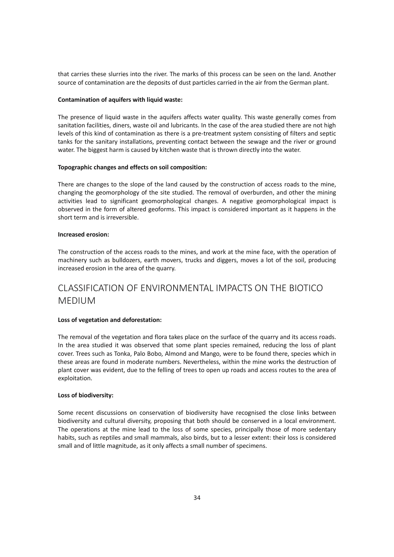that carries these slurries into the river. The marks of this process can be seen on the land. Another source of contamination are the deposits of dust particles carried in the air from the German plant.

#### **Contamination of aquifers with liquid waste:**

The presence of liquid waste in the aquifers affects water quality. This waste generally comes from sanitation facilities, diners, waste oil and lubricants. In the case of the area studied there are not high levels of this kind of contamination as there is a pre-treatment system consisting of filters and septic tanks for the sanitary installations, preventing contact between the sewage and the river or ground water. The biggest harm is caused by kitchen waste that is thrown directly into the water.

#### **Topographic changes and effects on soil composition:**

There are changes to the slope of the land caused by the construction of access roads to the mine, changing the geomorphology of the site studied. The removal of overburden, and other the mining activities lead to significant geomorphological changes. A negative geomorphological impact is observed in the form of altered geoforms. This impact is considered important as it happens in the short term and is irreversible.

#### **Increased erosion:**

The construction of the access roads to the mines, and work at the mine face, with the operation of machinery such as bulldozers, earth movers, trucks and diggers, moves a lot of the soil, producing increased erosion in the area of the quarry.

### CLASSIFICATION OF ENVIRONMENTAL IMPACTS ON THE BIOTICO MEDIUM

#### **Loss of vegetation and deforestation:**

The removal of the vegetation and flora takes place on the surface of the quarry and its access roads. In the area studied it was observed that some plant species remained, reducing the loss of plant cover. Trees such as Tonka, Palo Bobo, Almond and Mango, were to be found there, species which in these areas are found in moderate numbers. Nevertheless, within the mine works the destruction of plant cover was evident, due to the felling of trees to open up roads and access routes to the area of exploitation.

#### **Loss of biodiversity:**

Some recent discussions on conservation of biodiversity have recognised the close links between biodiversity and cultural diversity, proposing that both should be conserved in a local environment. The operations at the mine lead to the loss of some species, principally those of more sedentary habits, such as reptiles and small mammals, also birds, but to a lesser extent: their loss is considered small and of little magnitude, as it only affects a small number of specimens.